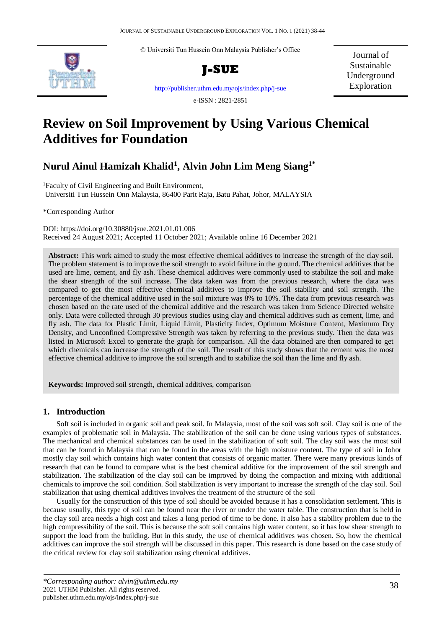© Universiti Tun Hussein Onn Malaysia Publisher's Office



**J-SUE**

Journal of Sustainable Underground Exploration

<http://publisher.uthm.edu.my/ojs/index.php/j-sue>

e-ISSN : 2821-2851

# **Review on Soil Improvement by Using Various Chemical Additives for Foundation**

# **Nurul Ainul Hamizah Khalid<sup>1</sup> , Alvin John Lim Meng Siang1\***

<sup>1</sup>Faculty of Civil Engineering and Built Environment, Universiti Tun Hussein Onn Malaysia, 86400 Parit Raja, Batu Pahat, Johor, MALAYSIA

\*Corresponding Author

DOI: https://doi.org/10.30880/jsue.2021.01.01.006 Received 24 August 2021; Accepted 11 October 2021; Available online 16 December 2021

**Abstract:** This work aimed to study the most effective chemical additives to increase the strength of the clay soil. The problem statement is to improve the soil strength to avoid failure in the ground. The chemical additives that be used are lime, cement, and fly ash. These chemical additives were commonly used to stabilize the soil and make the shear strength of the soil increase. The data taken was from the previous research, where the data was compared to get the most effective chemical additives to improve the soil stability and soil strength. The percentage of the chemical additive used in the soil mixture was 8% to 10%. The data from previous research was chosen based on the rate used of the chemical additive and the research was taken from Science Directed website only. Data were collected through 30 previous studies using clay and chemical additives such as cement, lime, and fly ash. The data for Plastic Limit, Liquid Limit, Plasticity Index, Optimum Moisture Content, Maximum Dry Density, and Unconfined Compressive Strength was taken by referring to the previous study. Then the data was listed in Microsoft Excel to generate the graph for comparison. All the data obtained are then compared to get which chemicals can increase the strength of the soil. The result of this study shows that the cement was the most effective chemical additive to improve the soil strength and to stabilize the soil than the lime and fly ash.

**Keywords:** Improved soil strength, chemical additives, comparison

# **1. Introduction**

Soft soil is included in organic soil and peak soil. In Malaysia, most of the soil was soft soil. Clay soil is one of the examples of problematic soil in Malaysia. The stabilization of the soil can be done using various types of substances. The mechanical and chemical substances can be used in the stabilization of soft soil. The clay soil was the most soil that can be found in Malaysia that can be found in the areas with the high moisture content. The type of soil in Johor mostly clay soil which contains high water content that consists of organic matter. There were many previous kinds of research that can be found to compare what is the best chemical additive for the improvement of the soil strength and stabilization. The stabilization of the clay soil can be improved by doing the compaction and mixing with additional chemicals to improve the soil condition. Soil stabilization is very important to increase the strength of the clay soil. Soil stabilization that using chemical additives involves the treatment of the structure of the soil

Usually for the construction of this type of soil should be avoided because it has a consolidation settlement. This is because usually, this type of soil can be found near the river or under the water table. The construction that is held in the clay soil area needs a high cost and takes a long period of time to be done. It also has a stability problem due to the high compressibility of the soil. This is because the soft soil contains high water content, so it has low shear strength to support the load from the building. But in this study, the use of chemical additives was chosen. So, how the chemical additives can improve the soil strength will be discussed in this paper. This research is done based on the case study of the critical review for clay soil stabilization using chemical additives.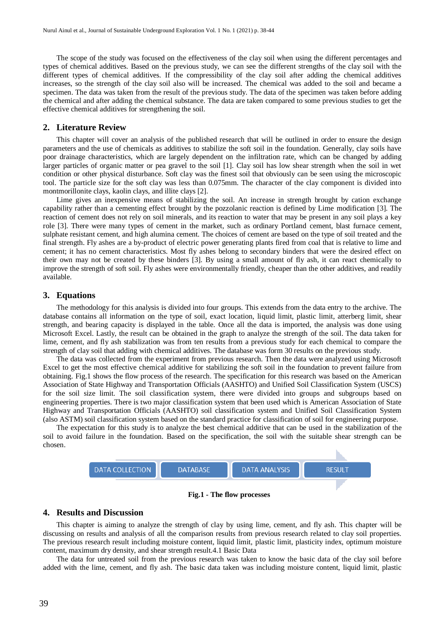The scope of the study was focused on the effectiveness of the clay soil when using the different percentages and types of chemical additives. Based on the previous study, we can see the different strengths of the clay soil with the different types of chemical additives. If the compressibility of the clay soil after adding the chemical additives increases, so the strength of the clay soil also will be increased. The chemical was added to the soil and became a specimen. The data was taken from the result of the previous study. The data of the specimen was taken before adding the chemical and after adding the chemical substance. The data are taken compared to some previous studies to get the effective chemical additives for strengthening the soil.

#### **2. Literature Review**

This chapter will cover an analysis of the published research that will be outlined in order to ensure the design parameters and the use of chemicals as additives to stabilize the soft soil in the foundation. Generally, clay soils have poor drainage characteristics, which are largely dependent on the infiltration rate, which can be changed by adding larger particles of organic matter or pea gravel to the soil [1]. Clay soil has low shear strength when the soil in wet condition or other physical disturbance. Soft clay was the finest soil that obviously can be seen using the microscopic tool. The particle size for the soft clay was less than 0.075mm. The character of the clay component is divided into montmorillonite clays, kaolin clays, and illite clays [2].

Lime gives an inexpensive means of stabilizing the soil. An increase in strength brought by cation exchange capability rather than a cementing effect brought by the pozzolanic reaction is defined by Lime modification [3]. The reaction of cement does not rely on soil minerals, and its reaction to water that may be present in any soil plays a key role [3]. There were many types of cement in the market, such as ordinary Portland cement, blast furnace cement, sulphate resistant cement, and high alumina cement. The choices of cement are based on the type of soil treated and the final strength. Fly ashes are a by-product of electric power generating plants fired from coal that is relative to lime and cement; it has no cement characteristics. Most fly ashes belong to secondary binders that were the desired effect on their own may not be created by these binders [3]. By using a small amount of fly ash, it can react chemically to improve the strength of soft soil. Fly ashes were environmentally friendly, cheaper than the other additives, and readily available.

#### **3. Equations**

The methodology for this analysis is divided into four groups. This extends from the data entry to the archive. The database contains all information on the type of soil, exact location, liquid limit, plastic limit, atterberg limit, shear strength, and bearing capacity is displayed in the table. Once all the data is imported, the analysis was done using Microsoft Excel. Lastly, the result can be obtained in the graph to analyze the strength of the soil. The data taken for lime, cement, and fly ash stabilization was from ten results from a previous study for each chemical to compare the strength of clay soil that adding with chemical additives. The database was form 30 results on the previous study.

The data was collected from the experiment from previous research. Then the data were analyzed using Microsoft Excel to get the most effective chemical additive for stabilizing the soft soil in the foundation to prevent failure from obtaining. Fig.1 shows the flow process of the research. The specification for this research was based on the American Association of State Highway and Transportation Officials (AASHTO) and Unified Soil Classification System (USCS) for the soil size limit. The soil classification system, there were divided into groups and subgroups based on engineering properties. There is two major classification system that been used which is American Association of State Highway and Transportation Officials (AASHTO) soil classification system and Unified Soil Classification System (also ASTM) soil classification system based on the standard practice for classification of soil for engineering purpose.

The expectation for this study is to analyze the best chemical additive that can be used in the stabilization of the soil to avoid failure in the foundation. Based on the specification, the soil with the suitable shear strength can be chosen.



**Fig.1 - The flow processes**

#### **4. Results and Discussion**

This chapter is aiming to analyze the strength of clay by using lime, cement, and fly ash. This chapter will be discussing on results and analysis of all the comparison results from previous research related to clay soil properties. The previous research result including moisture content, liquid limit, plastic limit, plasticity index, optimum moisture content, maximum dry density, and shear strength result.4.1 Basic Data

The data for untreated soil from the previous research was taken to know the basic data of the clay soil before added with the lime, cement, and fly ash. The basic data taken was including moisture content, liquid limit, plastic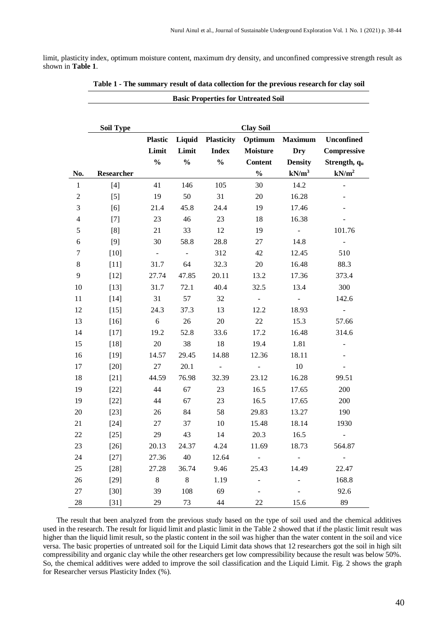limit, plasticity index, optimum moisture content, maximum dry density, and unconfined compressive strength result as shown in **Table 1**.

|                  | <b>Soil Type</b> |                |               |                     | <b>Clay Soil</b>         |                |                          |
|------------------|------------------|----------------|---------------|---------------------|--------------------------|----------------|--------------------------|
|                  |                  | <b>Plastic</b> | Liquid        | <b>Plasticity</b>   | Optimum                  | <b>Maximum</b> | <b>Unconfined</b>        |
|                  |                  | Limit          | Limit         | <b>Index</b>        | <b>Moisture</b>          | <b>Dry</b>     | Compressive              |
|                  |                  | $\frac{0}{0}$  | $\frac{0}{0}$ | $\frac{0}{0}$       | <b>Content</b>           | <b>Density</b> | Strength, qu             |
| No.              | Researcher       |                |               |                     | $\frac{0}{0}$            | $kN/m^3$       | kN/m <sup>2</sup>        |
| $\mathbf{1}$     | $[4]$            | 41             | 146           | 105                 | 30                       | 14.2           |                          |
| $\boldsymbol{2}$ | $[5]$            | 19             | 50            | 31                  | 20                       | 16.28          |                          |
| $\mathfrak{Z}$   | [6]              | 21.4           | 45.8          | 24.4                | 19                       | 17.46          |                          |
| $\overline{4}$   | $[7]$            | 23             | 46            | 23                  | 18                       | 16.38          |                          |
| 5                | [8]              | 21             | 33            | 12                  | 19                       | $\sim$         | 101.76                   |
| 6                | [9]              | 30             | 58.8          | 28.8                | 27                       | 14.8           | $\overline{\phantom{a}}$ |
| $\tau$           | $[10]$           | $\blacksquare$ | $\Box$        | 312                 | 42                       | 12.45          | 510                      |
| $8\,$            | $[11]$           | 31.7           | 64            | 32.3                | 20                       | 16.48          | 88.3                     |
| 9                | $[12]$           | 27.74          | 47.85         | 20.11               | 13.2                     | 17.36          | 373.4                    |
| 10               | $[13]$           | 31.7           | 72.1          | 40.4                | 32.5                     | 13.4           | 300                      |
| 11               | $[14]$           | 31             | 57            | 32                  |                          |                | 142.6                    |
| 12               | $[15]$           | 24.3           | 37.3          | 13                  | 12.2                     | 18.93          | $\blacksquare$           |
| 13               | $[16]$           | 6              | 26            | 20                  | 22                       | 15.3           | 57.66                    |
| 14               | $[17]$           | 19.2           | 52.8          | 33.6                | 17.2                     | 16.48          | 314.6                    |
| 15               | $[18]$           | $20\,$         | 38            | 18                  | 19.4                     | 1.81           |                          |
| 16               | $[19]$           | 14.57          | 29.45         | 14.88               | 12.36                    | 18.11          |                          |
| 17               | $[20]$           | 27             | 20.1          | $\omega_{\rm{eff}}$ | $\Delta \phi$            | 10             |                          |
| 18               | $[21]$           | 44.59          | 76.98         | 32.39               | 23.12                    | 16.28          | 99.51                    |
| 19               | $[22]$           | 44             | 67            | 23                  | 16.5                     | 17.65          | 200                      |
| 19               | $[22]$           | 44             | 67            | 23                  | 16.5                     | 17.65          | 200                      |
| 20               | $[23]$           | 26             | 84            | 58                  | 29.83                    | 13.27          | 190                      |
| 21               | $[24]$           | 27             | 37            | 10                  | 15.48                    | 18.14          | 1930                     |
| 22               | $[25]$           | 29             | 43            | 14                  | 20.3                     | 16.5           | $\overline{\phantom{a}}$ |
| 23               | $[26]$           | 20.13          | 24.37         | 4.24                | 11.69                    | 18.73          | 564.87                   |
| 24               | $[27]$           | 27.36          | 40            | 12.64               | $\overline{\phantom{a}}$ | $\blacksquare$ | $\sim$                   |
| 25               | $[28]$           | 27.28          | 36.74         | 9.46                | 25.43                    | 14.49          | 22.47                    |
| 26               | $[29]$           | $\,8\,$        | $8\,$         | 1.19                |                          | -              | 168.8                    |
| 27               | $[30]$           | 39             | 108           | 69                  |                          |                | 92.6                     |
| $28\,$           | $[31]$           | 29             | 73            | 44                  | $22\,$                   | 15.6           | 89                       |

| Table 1 - The summary result of data collection for the previous research for clay soil |
|-----------------------------------------------------------------------------------------|
|-----------------------------------------------------------------------------------------|

**Basic Properties for Untreated Soil**

The result that been analyzed from the previous study based on the type of soil used and the chemical additives used in the research. The result for liquid limit and plastic limit in the Table 2 showed that if the plastic limit result was higher than the liquid limit result, so the plastic content in the soil was higher than the water content in the soil and vice versa. The basic properties of untreated soil for the Liquid Limit data shows that 12 researchers got the soil in high silt compressibility and organic clay while the other researchers get low compressibility because the result was below 50%. So, the chemical additives were added to improve the soil classification and the Liquid Limit. Fig. 2 shows the graph for Researcher versus Plasticity Index (%).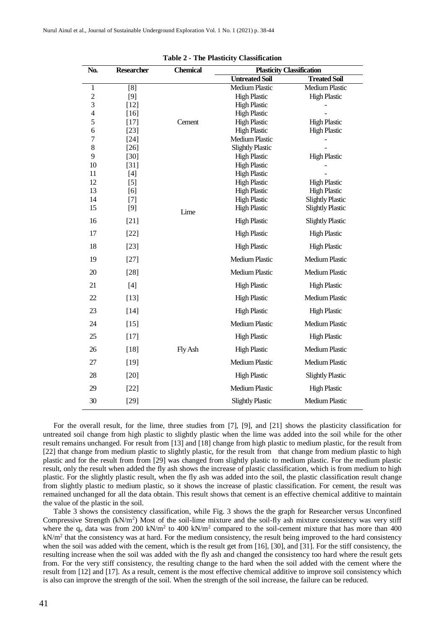| No.                        | <b>Researcher</b> | <b>Chemical</b> | <b>Plasticity Classification</b>             |                         |
|----------------------------|-------------------|-----------------|----------------------------------------------|-------------------------|
|                            |                   |                 | <b>Untreated Soil</b>                        | <b>Treated Soil</b>     |
| $\mathbf{1}$               | [8]               |                 | <b>Medium Plastic</b>                        | <b>Medium Plastic</b>   |
| $\overline{c}$             | $[9]$             |                 | <b>High Plastic</b>                          | <b>High Plastic</b>     |
| $\mathfrak{Z}$             | $[12]$            |                 | <b>High Plastic</b>                          |                         |
| $\overline{\mathcal{L}}$   | $[16]$            |                 | <b>High Plastic</b>                          |                         |
| 5                          | $[17]$            | Cement          | <b>High Plastic</b>                          | <b>High Plastic</b>     |
| $\boldsymbol{6}$<br>$\tau$ | $[23]$            |                 | <b>High Plastic</b><br><b>Medium Plastic</b> | <b>High Plastic</b>     |
| $8\,$                      | $[24]$<br>$[26]$  |                 | <b>Slightly Plastic</b>                      |                         |
| 9                          | $[30]$            |                 | <b>High Plastic</b>                          | <b>High Plastic</b>     |
| 10                         | $[31]$            |                 | <b>High Plastic</b>                          |                         |
| 11                         | $[4]$             |                 | <b>High Plastic</b>                          |                         |
| 12                         | $[5]$             |                 | <b>High Plastic</b>                          | <b>High Plastic</b>     |
| 13                         | [6]               |                 | <b>High Plastic</b>                          | <b>High Plastic</b>     |
| 14                         | $[7]$             |                 | <b>High Plastic</b>                          | <b>Slightly Plastic</b> |
| 15                         | [9]               | Lime            | <b>High Plastic</b>                          | <b>Slightly Plastic</b> |
| 16                         | $[21]$            |                 | <b>High Plastic</b>                          | <b>Slightly Plastic</b> |
| 17                         | $[22]$            |                 | <b>High Plastic</b>                          | <b>High Plastic</b>     |
| 18                         | $[23]$            |                 | <b>High Plastic</b>                          | <b>High Plastic</b>     |
| 19                         | $[27]$            |                 | <b>Medium Plastic</b>                        | <b>Medium Plastic</b>   |
| 20                         | $[28]$            |                 | <b>Medium Plastic</b>                        | <b>Medium Plastic</b>   |
| 21                         | $[4]$             |                 | <b>High Plastic</b>                          | <b>High Plastic</b>     |
| 22                         | $[13]$            |                 | <b>High Plastic</b>                          | <b>Medium Plastic</b>   |
| 23                         | $[14]$            |                 | <b>High Plastic</b>                          | <b>High Plastic</b>     |
| 24                         | $[15]$            |                 | <b>Medium Plastic</b>                        | <b>Medium Plastic</b>   |
| 25                         | $[17]$            |                 | <b>High Plastic</b>                          | <b>High Plastic</b>     |
| 26                         | $[18]$            | Fly Ash         | <b>High Plastic</b>                          | <b>Medium Plastic</b>   |
| 27                         | $[19]$            |                 | <b>Medium Plastic</b>                        | <b>Medium Plastic</b>   |
| 28                         | $[20]$            |                 | <b>High Plastic</b>                          | <b>Slightly Plastic</b> |
| 29                         | $[22]$            |                 | <b>Medium Plastic</b>                        | <b>High Plastic</b>     |
| 30                         | $[29]$            |                 | <b>Slightly Plastic</b>                      | <b>Medium Plastic</b>   |

|  |  |  | <b>Table 2 - The Plasticity Classification</b> |
|--|--|--|------------------------------------------------|
|--|--|--|------------------------------------------------|

For the overall result, for the lime, three studies from [7], [9], and [21] shows the plasticity classification for untreated soil change from high plastic to slightly plastic when the lime was added into the soil while for the other result remains unchanged. For result from [13] and [18] change from high plastic to medium plastic, for the result from [22] that change from medium plastic to slightly plastic, for the result from that change from medium plastic to high plastic and for the result from from [29] was changed from slightly plastic to medium plastic. For the medium plastic result, only the result when added the fly ash shows the increase of plastic classification, which is from medium to high plastic. For the slightly plastic result, when the fly ash was added into the soil, the plastic classification result change from slightly plastic to medium plastic, so it shows the increase of plastic classification. For cement, the result was remained unchanged for all the data obtain. This result shows that cement is an effective chemical additive to maintain the value of the plastic in the soil.

Table 3 shows the consistency classification, while Fig. 3 shows the the graph for Researcher versus Unconfined Compressive Strength  $(kN/m<sup>2</sup>)$  Most of the soil-lime mixture and the soil-fly ash mixture consistency was very stiff where the  $q_u$  data was from 200 kN/m<sup>2</sup> to 400 kN/m<sup>2</sup> compared to the soil-cement mixture that has more than 400  $kN/m<sup>2</sup>$  that the consistency was at hard. For the medium consistency, the result being improved to the hard consistency when the soil was added with the cement, which is the result get from [16], [30], and [31]. For the stiff consistency, the resulting increase when the soil was added with the fly ash and changed the consistency too hard where the result gets from. For the very stiff consistency, the resulting change to the hard when the soil added with the cement where the result from [12] and [17]. As a result, cement is the most effective chemical additive to improve soil consistency which is also can improve the strength of the soil. When the strength of the soil increase, the failure can be reduced.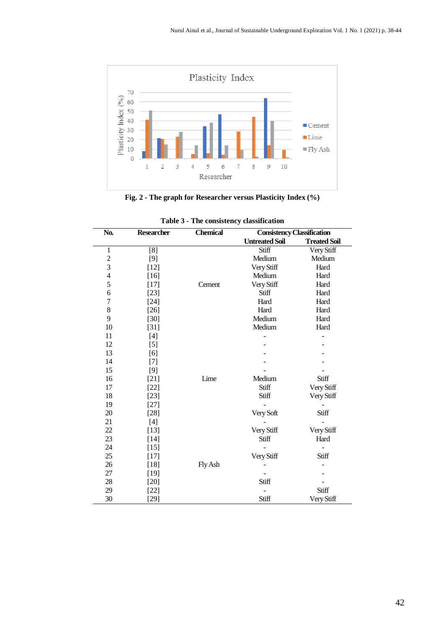

**Fig. 2 - The graph for Researcher versus Plasticity Index (%)**

| No.            | <b>Researcher</b> | <b>Chemical</b> | <b>Consistency Classification</b> |                     |
|----------------|-------------------|-----------------|-----------------------------------|---------------------|
|                |                   |                 | <b>Untreated Soil</b>             | <b>Treated Soil</b> |
| $\mathbf{1}$   | [8]               |                 | Stiff                             | Very Stiff          |
| $\frac{2}{3}$  | $[9]$             |                 | Medium                            | Medium              |
|                | $[12]$            |                 | Very Stiff                        | Hard                |
| $\overline{4}$ | $[16]$            |                 | Medium                            | Hard                |
| 5              | $[17]$            | Cement          | Very Stiff                        | Hard                |
| 6              | $[23]$            |                 | Stiff                             | Hard                |
| $\overline{7}$ | $[24]$            |                 | Hard                              | Hard                |
| 8              | $[26]$            |                 | Hard                              | Hard                |
| 9              | $[30]$            |                 | Medium                            | Hard                |
| 10             | $[31]$            |                 | Medium                            | Hard                |
| 11             | $[4]$             |                 |                                   |                     |
| 12             | $[5]$             |                 |                                   |                     |
| 13             | $[6]$             |                 |                                   |                     |
| 14             | $[7]$             |                 |                                   |                     |
| 15             | $[9]$             |                 |                                   |                     |
| 16             | $[21]$            | Lime            | Medium                            | Stiff               |
| 17             | $[22]$            |                 | Stiff                             | Very Stiff          |
| 18             | $[23]$            |                 | Stiff                             | Very Stiff          |
| 19             | $[27]$            |                 |                                   |                     |
| 20             | $[28]$            |                 | Very Soft                         | Stiff               |
| 21             | $[4]$             |                 |                                   |                     |
| 22             | $[13]$            |                 | Very Stiff                        | Very Stiff          |
| 23             | $[14]$            |                 | Stiff                             | Hard                |
| 24             | $[15]$            |                 |                                   |                     |
| 25             | $[17]$            |                 | Very Stiff                        | Stiff               |
| 26             | $[18]$            | Fly Ash         |                                   |                     |
| 27             | $[19]$            |                 |                                   |                     |
| 28             | $[20]$            |                 | Stiff                             |                     |
| 29             | $[22]$            |                 |                                   | Stiff               |
| 30             | $[29]$            |                 | Stiff                             | Very Stiff          |

|  |  |  | Table 3 - The consistency classification |
|--|--|--|------------------------------------------|
|--|--|--|------------------------------------------|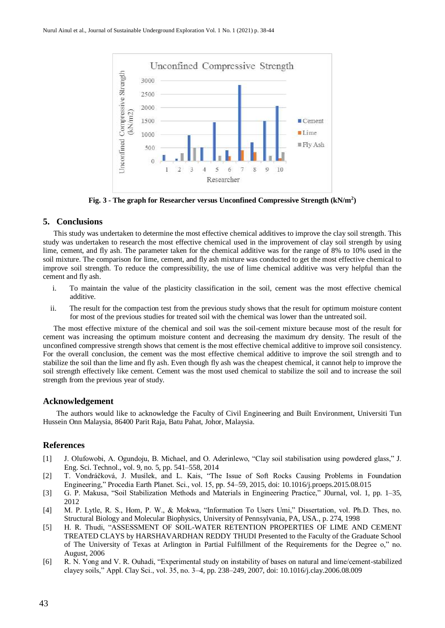

**Fig. 3 - The graph for Researcher versus Unconfined Compressive Strength (kN/m<sup>2</sup> )**

# **5. Conclusions**

This study was undertaken to determine the most effective chemical additives to improve the clay soil strength. This study was undertaken to research the most effective chemical used in the improvement of clay soil strength by using lime, cement, and fly ash. The parameter taken for the chemical additive was for the range of 8% to 10% used in the soil mixture. The comparison for lime, cement, and fly ash mixture was conducted to get the most effective chemical to improve soil strength. To reduce the compressibility, the use of lime chemical additive was very helpful than the cement and fly ash.

- i. To maintain the value of the plasticity classification in the soil, cement was the most effective chemical additive.
- ii. The result for the compaction test from the previous study shows that the result for optimum moisture content for most of the previous studies for treated soil with the chemical was lower than the untreated soil.

The most effective mixture of the chemical and soil was the soil-cement mixture because most of the result for cement was increasing the optimum moisture content and decreasing the maximum dry density. The result of the unconfined compressive strength shows that cement is the most effective chemical additive to improve soil consistency. For the overall conclusion, the cement was the most effective chemical additive to improve the soil strength and to stabilize the soil than the lime and fly ash. Even though fly ash was the cheapest chemical, it cannot help to improve the soil strength effectively like cement. Cement was the most used chemical to stabilize the soil and to increase the soil strength from the previous year of study.

## **Acknowledgement**

The authors would like to acknowledge the Faculty of Civil Engineering and Built Environment, Universiti Tun Hussein Onn Malaysia, 86400 Parit Raja, Batu Pahat, Johor, Malaysia.

## **References**

- [1] J. Olufowobi, A. Ogundoju, B. Michael, and O. Aderinlewo, "Clay soil stabilisation using powdered glass," J. Eng. Sci. Technol., vol. 9, no. 5, pp. 541–558, 2014
- [2] T. Vondráčková, J. Musílek, and L. Kais, "The Issue of Soft Rocks Causing Problems in Foundation Engineering," Procedia Earth Planet. Sci., vol. 15, pp. 54–59, 2015, doi: 10.1016/j.proeps.2015.08.015
- [3] G. P. Makusa, "Soil Stabilization Methods and Materials in Engineering Practice," J0urnal, vol. 1, pp. 1–35, 2012
- [4] M. P. Lytle, R. S., Hom, P. W., & Mokwa, "Information To Users Umi," Dissertation, vol. Ph.D. Thes, no. Structural Biology and Molecular Biophysics, University of Pennsylvania, PA, USA., p. 274, 1998
- [5] H. R. Thudi, "ASSESSMENT OF SOIL-WATER RETENTION PROPERTIES OF LIME AND CEMENT TREATED CLAYS by HARSHAVARDHAN REDDY THUDI Presented to the Faculty of the Graduate School of The University of Texas at Arlington in Partial Fulfillment of the Requirements for the Degree o," no. August, 2006
- [6] R. N. Yong and V. R. Ouhadi, "Experimental study on instability of bases on natural and lime/cement-stabilized clayey soils," Appl. Clay Sci., vol. 35, no. 3–4, pp. 238–249, 2007, doi: 10.1016/j.clay.2006.08.009